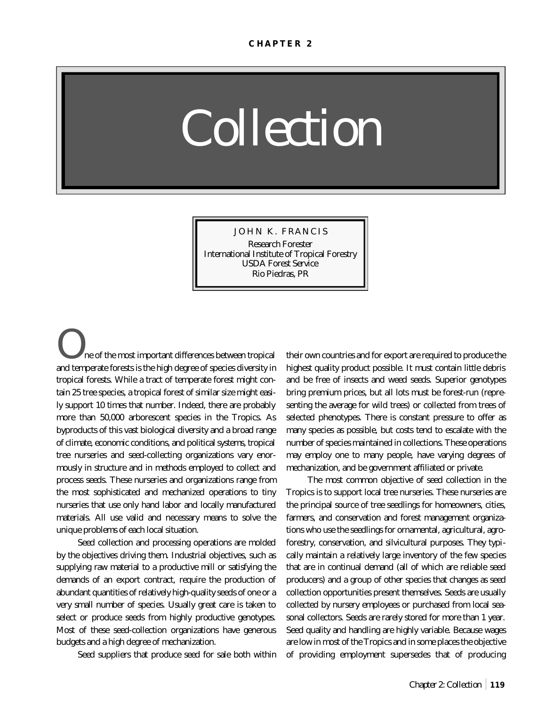# *Collection*

JOHN K. FRANCIS Research Forester International Institute of Tropical Forestry USDA Forest Service Rio Piedras, PR

ne of the most important differences between tropical and temperate forests is the high degree of species diversity in tropical forests. While a tract of temperate forest might contain 25 tree species, a tropical forest of similar size might easily support 10 times that number. Indeed, there are probably more than 50,000 arborescent species in the Tropics. As byproducts of this vast biological diversity and a broad range of climate, economic conditions, and political systems, tropical tree nurseries and seed-collecting organizations vary enormously in structure and in methods employed to collect and process seeds. These nurseries and organizations range from the most sophisticated and mechanized operations to tiny nurseries that use only hand labor and locally manufactured materials. All use valid and necessary means to solve the unique problems of each local situation.

Seed collection and processing operations are molded by the objectives driving them. Industrial objectives, such as supplying raw material to a productive mill or satisfying the demands of an export contract, require the production of abundant quantities of relatively high-quality seeds of one or a very small number of species. Usually great care is taken to select or produce seeds from highly productive genotypes. Most of these seed-collection organizations have generous budgets and a high degree of mechanization.

Seed suppliers that produce seed for sale both within

their own countries and for export are required to produce the highest quality product possible. It must contain little debris and be free of insects and weed seeds. Superior genotypes bring premium prices, but all lots must be forest-run (representing the average for wild trees) or collected from trees of selected phenotypes. There is constant pressure to offer as many species as possible, but costs tend to escalate with the number of species maintained in collections. These operations may employ one to many people, have varying degrees of mechanization, and be government affiliated or private.

The most common objective of seed collection in the Tropics is to support local tree nurseries. These nurseries are the principal source of tree seedlings for homeowners, cities, farmers, and conservation and forest management organizations who use the seedlings for ornamental, agricultural, agroforestry, conservation, and silvicultural purposes. They typically maintain a relatively large inventory of the few species that are in continual demand (all of which are reliable seed producers) and a group of other species that changes as seed collection opportunities present themselves. Seeds are usually collected by nursery employees or purchased from local seasonal collectors. Seeds are rarely stored for more than 1 year. Seed quality and handling are highly variable. Because wages are low in most of the Tropics and in some places the objective of providing employment supersedes that of producing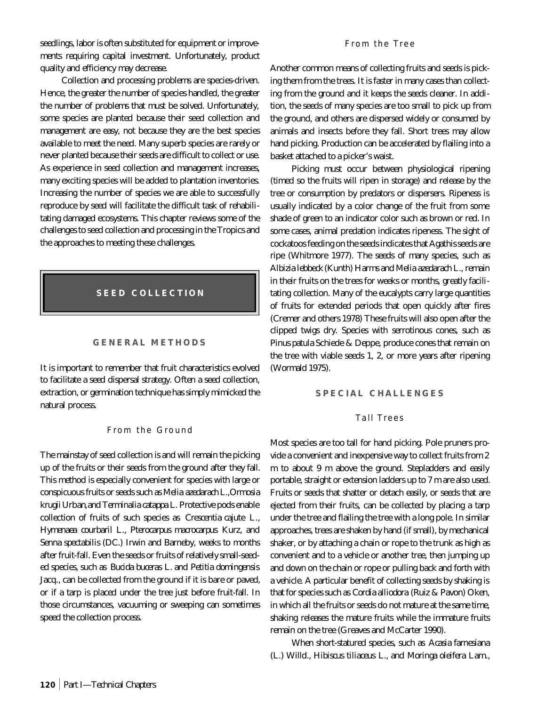seedlings, labor is often substituted for equipment or improvements requiring capital investment. Unfortunately, product quality and efficiency may decrease.

Collection and processing problems are species-driven. Hence, the greater the number of species handled, the greater the number of problems that must be solved. Unfortunately, some species are planted because their seed collection and management are easy, not because they are the best species available to meet the need. Many superb species are rarely or never planted because their seeds are difficult to collect or use. As experience in seed collection and management increases, many exciting species will be added to plantation inventories. Increasing the number of species we are able to successfully reproduce by seed will facilitate the difficult task of rehabilitating damaged ecosystems. This chapter reviews some of the challenges to seed collection and processing in the Tropics and the approaches to meeting these challenges.

# **SEED COLLECTION**

### **GENERAL METHODS**

It is important to remember that fruit characteristics evolved to facilitate a seed dispersal strategy. Often a seed collection, extraction, or germination technique has simply mimicked the natural process.

### From the Ground

The mainstay of seed collection is and will remain the picking up of the fruits or their seeds from the ground after they fall. This method is especially convenient for species with large or conspicuous fruits or seeds such as *Melia azedarach* L*.,Ormosia krugii* Urban*,*and *Terminalia catappa* L. Protective pods enable collection of fruits of such species as *Crescentia cajute* L., *Hymenaea courbaril* L., *Pterocarpus macrocarpus* Kurz, and *Senna spectabilis* (DC.) Irwin and Barneby, weeks to months after fruit-fall. Even the seeds or fruits of relatively small-seeded species, such as *Bucida buceras* L. and *Petitia domingensis* Jacq., can be collected from the ground if it is bare or paved, or if a tarp is placed under the tree just before fruit-fall. In those circumstances, vacuuming or sweeping can sometimes speed the collection process.

#### From the Tree

Another common means of collecting fruits and seeds is picking them from the trees. It is faster in many cases than collecting from the ground and it keeps the seeds cleaner. In addition, the seeds of many species are too small to pick up from the ground, and others are dispersed widely or consumed by animals and insects before they fall. Short trees may allow hand picking. Production can be accelerated by flailing into a basket attached to a picker's waist.

Picking must occur between physiological ripening (timed so the fruits will ripen in storage) and release by the tree or consumption by predators or dispersers. Ripeness is usually indicated by a color change of the fruit from some shade of green to an indicator color such as brown or red. In some cases, animal predation indicates ripeness. The sight of cockatoos feeding on the seeds indicates that *Agathis*seeds are ripe (Whitmore 1977). The seeds of many species, such as *Albizia lebbeck* (Kunth) Harms and *Melia azedarach* L., remain in their fruits on the trees for weeks or months, greatly facilitating collection. Many of the eucalypts carry large quantities of fruits for extended periods that open quickly after fires (Cremer and others 1978) These fruits will also open after the clipped twigs dry. Species with serrotinous cones, such as *Pinus patula* Schiede & Deppe, produce cones that remain on the tree with viable seeds 1, 2, or more years after ripening (Wormald 1975).

#### **SPECIAL CHALLENGES**

#### Tall Trees

Most species are too tall for hand picking. Pole pruners provide a convenient and inexpensive way to collect fruits from 2 m to about 9 m above the ground. Stepladders and easily portable, straight or extension ladders up to 7 m are also used. Fruits or seeds that shatter or detach easily, or seeds that are ejected from their fruits, can be collected by placing a tarp under the tree and flailing the tree with a long pole. In similar approaches, trees are shaken by hand (if small), by mechanical shaker, or by attaching a chain or rope to the trunk as high as convenient and to a vehicle or another tree, then jumping up and down on the chain or rope or pulling back and forth with a vehicle. A particular benefit of collecting seeds by shaking is that for species such as *Cordia alliodora* (Ruiz & Pavon) Oken, in which all the fruits or seeds do not mature at the same time, shaking releases the mature fruits while the immature fruits remain on the tree (Greaves and McCarter 1990).

When short-statured species, such as *Acasia farnesiana* (L.) Willd., *Hibiscus tiliaceus* L., and *Moringa oleifera* Lam.,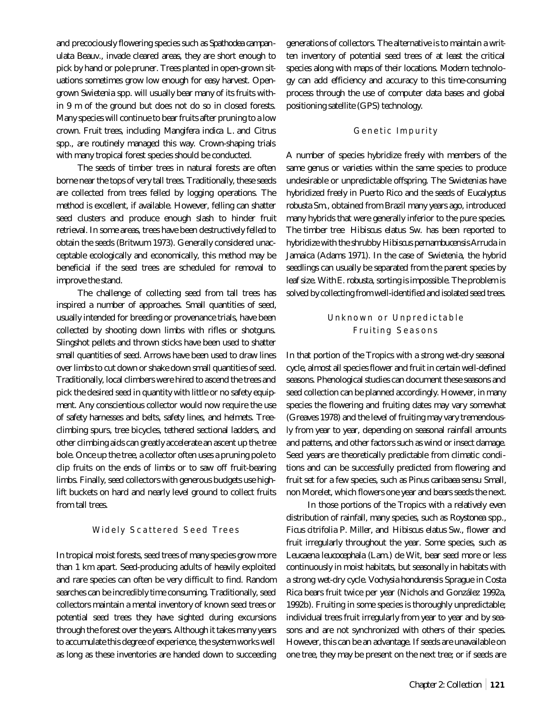and precociously flowering species such as *Spathodea campanulata* Beauv., invade cleared areas, they are short enough to pick by hand or pole pruner. Trees planted in open-grown situations sometimes grow low enough for easy harvest. Opengrown *Swietenia* spp. will usually bear many of its fruits within 9 m of the ground but does not do so in closed forests. Many species will continue to bear fruits after pruning to a low crown. Fruit trees, including *Mangifera indica* L. and *Citrus* spp., are routinely managed this way. Crown-shaping trials with many tropical forest species should be conducted.

The seeds of timber trees in natural forests are often borne near the tops of very tall trees. Traditionally, these seeds are collected from trees felled by logging operations. The method is excellent, if available. However, felling can shatter seed clusters and produce enough slash to hinder fruit retrieval. In some areas, trees have been destructively felled to obtain the seeds (Britwum 1973). Generally considered unacceptable ecologically and economically, this method may be beneficial if the seed trees are scheduled for removal to improve the stand.

The challenge of collecting seed from tall trees has inspired a number of approaches. Small quantities of seed, usually intended for breeding or provenance trials, have been collected by shooting down limbs with rifles or shotguns. Slingshot pellets and thrown sticks have been used to shatter small quantities of seed. Arrows have been used to draw lines over limbs to cut down or shake down small quantities of seed. Traditionally, local climbers were hired to ascend the trees and pick the desired seed in quantity with little or no safety equipment. Any conscientious collector would now require the use of safety harnesses and belts, safety lines, and helmets. Treeclimbing spurs, tree bicycles, tethered sectional ladders, and other climbing aids can greatly accelerate an ascent up the tree bole. Once up the tree, a collector often uses a pruning pole to clip fruits on the ends of limbs or to saw off fruit-bearing limbs. Finally, seed collectors with generous budgets use highlift buckets on hard and nearly level ground to collect fruits from tall trees.

## Widely Scattered Seed Trees

In tropical moist forests, seed trees of many species grow more than 1 km apart. Seed-producing adults of heavily exploited and rare species can often be very difficult to find. Random searches can be incredibly time consuming. Traditionally, seed collectors maintain a mental inventory of known seed trees or potential seed trees they have sighted during excursions through the forest over the years. Although it takes many years to accumulate this degree of experience, the system works well as long as these inventories are handed down to succeeding generations of collectors. The alternative is to maintain a written inventory of potential seed trees of at least the critical species along with maps of their locations. Modern technology can add efficiency and accuracy to this time-consuming process through the use of computer data bases and global positioning satellite (GPS) technology.

#### Genetic Impurity

A number of species hybridize freely with members of the same genus or varieties within the same species to produce undesirable or unpredictable offspring. The *Swietenia*s have hybridized freely in Puerto Rico and the seeds of *Eucalyptus robusta* Sm., obtained from Brazil many years ago, introduced many hybrids that were generally inferior to the pure species. The timber tree *Hibiscus elatus* Sw. has been reported to hybridize with the shrubby *Hibiscus pernambucensis* Arruda in Jamaica (Adams 1971). In the case of *Swietenia*, the hybrid seedlings can usually be separated from the parent species by leaf size. With *E. robusta,* sorting is impossible. The problem is solved by collecting from well-identified and isolated seed trees.

# Unknown or Unpredictable Fruiting Seasons

In that portion of the Tropics with a strong wet-dry seasonal cycle, almost all species flower and fruit in certain well-defined seasons. Phenological studies can document these seasons and seed collection can be planned accordingly. However, in many species the flowering and fruiting dates may vary somewhat (Greaves 1978) and the level of fruiting may vary tremendously from year to year, depending on seasonal rainfall amounts and patterns, and other factors such as wind or insect damage. Seed years are theoretically predictable from climatic conditions and can be successfully predicted from flowering and fruit set for a few species, such as *Pinus caribaea* sensu Small, non Morelet, which flowers one year and bears seeds the next.

In those portions of the Tropics with a relatively even distribution of rainfall, many species, such as *Roystonea* spp., *Ficus citrifolia* P. Miller, and *Hibiscus elatus* Sw., flower and fruit irregularly throughout the year. Some species, such as *Leucaena leucocephala* (Lam.) de Wit, bear seed more or less continuously in moist habitats, but seasonally in habitats with a strong wet-dry cycle. *Vochysia hondurensis* Sprague in Costa Rica bears fruit twice per year (Nichols and González 1992a, 1992b). Fruiting in some species is thoroughly unpredictable; individual trees fruit irregularly from year to year and by seasons and are not synchronized with others of their species. However, this can be an advantage. If seeds are unavailable on one tree, they may be present on the next tree; or if seeds are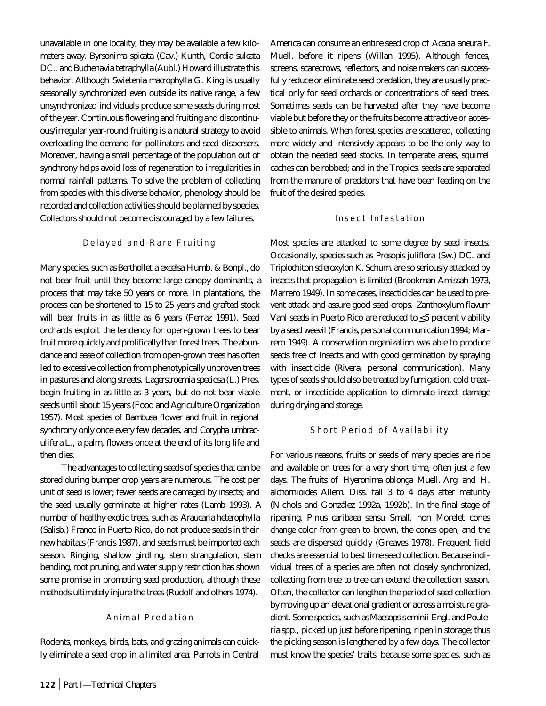unavailable in one locality, they may be available a few kilometers away. *Byrsonima spicata* (Cav.) Kunth, *Cordia sulcata* DC., and *Buchenavia tetraphylla* (Aubl.) Howard illustrate this behavior. Although *Swietenia macrophylla* G. King is usually seasonally synchronized even outside its native range, a few unsynchronized individuals produce some seeds during most of the year. Continuous flowering and fruiting and discontinuous/irregular year-round fruiting is a natural strategy to avoid overloading the demand for pollinators and seed dispersers. Moreover, having a small percentage of the population out of synchrony helps avoid loss of regeneration to irregularities in normal rainfall patterns. To solve the problem of collecting from species with this diverse behavior, phenology should be recorded and collection activities should be planned by species. Collectors should not become discouraged by a few failures.

### Delayed and Rare Fruiting

Many species, such as *Bertholletia excelsa* Humb. & Bonpl., do not bear fruit until they become large canopy dominants, a process that may take 50 years or more. In plantations, the process can be shortened to 15 to 25 years and grafted stock will bear fruits in as little as 6 years (Ferraz 1991). Seed orchards exploit the tendency for open-grown trees to bear fruit more quickly and prolifically than forest trees. The abundance and ease of collection from open-grown trees has often led to excessive collection from phenotypically unproven trees in pastures and along streets. *Lagerstroemia speciosa* (L.) Pres. begin fruiting in as little as 3 years, but do not bear viable seeds until about 15 years (Food and Agriculture Organization 1957). Most species of *Bambusa* flower and fruit in regional synchrony only once every few decades, and *Corypha umbraculifera* L., a palm, flowers once at the end of its long life and then dies.

The advantages to collecting seeds of species that can be stored during bumper crop years are numerous. The cost per unit of seed is lower; fewer seeds are damaged by insects; and the seed usually germinate at higher rates (Lamb 1993). A number of healthy exotic trees, such as *Araucaria heterophylla* (Salisb.) Franco in Puerto Rico, do not produce seeds in their new habitats (Francis 1987), and seeds must be imported each season. Ringing, shallow girdling, stem strangulation, stem bending, root pruning, and water supply restriction has shown some promise in promoting seed production, although these methods ultimately injure the trees (Rudolf and others 1974).

## Animal Predation

Rodents, monkeys, birds, bats, and grazing animals can quickly eliminate a seed crop in a limited area. Parrots in Central

America can consume an entire seed crop of *Acacia aneura* F. Muell. before it ripens (Willan 1995). Although fences, screens, scarecrows, reflectors, and noise makers can successfully reduce or eliminate seed predation, they are usually practical only for seed orchards or concentrations of seed trees. Sometimes seeds can be harvested after they have become viable but before they or the fruits become attractive or accessible to animals. When forest species are scattered, collecting more widely and intensively appears to be the only way to obtain the needed seed stocks. In temperate areas, squirrel caches can be robbed; and in the Tropics, seeds are separated from the manure of predators that have been feeding on the fruit of the desired species.

#### Insect Infestation

Most species are attacked to some degree by seed insects. Occasionally, species such as *Prosopis juliflora* (Sw.) DC. and *Triplochiton scleroxylon* K. Schum. are so seriously attacked by insects that propagation is limited (Brookman-Amissah 1973, Marrero 1949). In some cases, insecticides can be used to prevent attack and assure good seed crops. *Zanthoxylum flavum* Vahl seeds in Puerto Rico are reduced to  $\leq$ 5 percent viability by a seed weevil (Francis, personal communication 1994; Marrero 1949). A conservation organization was able to produce seeds free of insects and with good germination by spraying with insecticide (Rivera, personal communication). Many types of seeds should also be treated by fumigation, cold treatment, or insecticide application to eliminate insect damage during drying and storage.

#### Short Period of Availability

For various reasons, fruits or seeds of many species are ripe and available on trees for a very short time, often just a few days. The fruits of *Hyeronima oblonga* Muell. Arg. and *H. alchornioides* Allem. Diss. fall 3 to 4 days after maturity (Nichols and González 1992a, 1992b). In the final stage of ripening, *Pinus caribaea* sensu Small, non Morelet cones change color from green to brown, the cones open, and the seeds are dispersed quickly (Greaves 1978). Frequent field checks are essential to best time seed collection. Because individual trees of a species are often not closely synchronized, collecting from tree to tree can extend the collection season. Often, the collector can lengthen the period of seed collection by moving up an elevational gradient or across a moisture gradient. Some species, such as *Maesopsis eminii* Engl. and *Pouteria* spp., picked up just before ripening, ripen in storage; thus the picking season is lengthened by a few days. The collector must know the species' traits, because some species, such as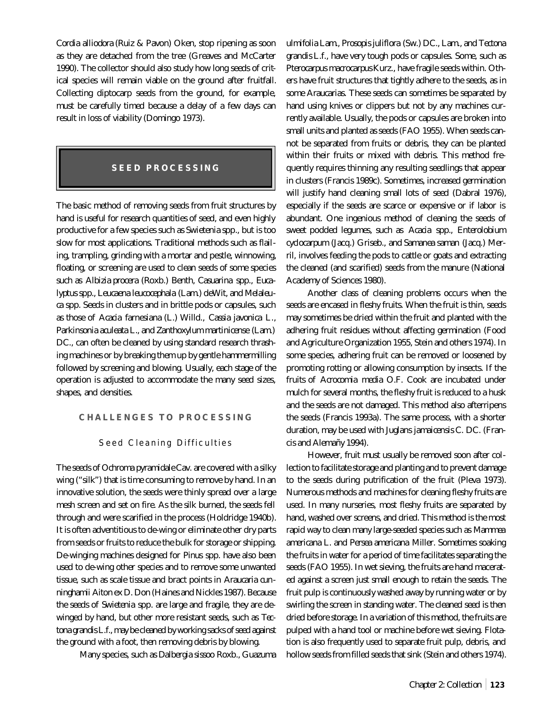*Cordia alliodora* (Ruiz & Pavon) Oken, stop ripening as soon as they are detached from the tree (Greaves and McCarter 1990). The collector should also study how long seeds of critical species will remain viable on the ground after fruitfall. Collecting diptocarp seeds from the ground, for example, must be carefully timed because a delay of a few days can result in loss of viability (Domingo 1973).

# **SEED PROCESSING**

The basic method of removing seeds from fruit structures by hand is useful for research quantities of seed, and even highly productive for a few species such as *Swietenia* spp., but is too slow for most applications. Traditional methods such as flailing, trampling, grinding with a mortar and pestle, winnowing, floating, or screening are used to clean seeds of some species such as *Albizia procera* (Roxb.) Benth, *Casuarina* spp., *Eucalyptus* spp., *Leucaena leucocephala* (Lam.) deWit, and *Melaleuca* spp. Seeds in clusters and in brittle pods or capsules, such as those of *Acacia farnesiana* (L.) Willd., *Cassia javonica* L., *Parkinsonia aculeata* L., and *Zanthoxylum martinicense* (Lam.) DC., can often be cleaned by using standard research thrashing machines or by breaking them up by gentle hammermilling followed by screening and blowing. Usually, each stage of the operation is adjusted to accommodate the many seed sizes, shapes, and densities.

## **CHALLENGES TO PROCESSING**

#### Seed Cleaning Difficulties

The seeds of *Ochroma pyramidale*Cav. are covered with a silky wing ("silk") that is time consuming to remove by hand. In an innovative solution, the seeds were thinly spread over a large mesh screen and set on fire. As the silk burned, the seeds fell through and were scarified in the process (Holdridge 1940b). It is often adventitious to de-wing or eliminate other dry parts from seeds or fruits to reduce the bulk for storage or shipping. De-winging machines designed for *Pinus* spp. have also been used to de-wing other species and to remove some unwanted tissue, such as scale tissue and bract points in *Araucaria cunninghamii* Aiton ex D. Don (Haines and Nickles 1987). Because the seeds of *Swietenia* spp. are large and fragile, they are dewinged by hand, but other more resistant seeds, such as *Tectona grandis* L.f., may be cleaned by working sacks of seed against the ground with a foot, then removing debris by blowing.

Many species, such as *Dalbergia sissoo* Roxb., *Guazuma*

*ulmifolia* Lam., *Prosopis juliflora* (Sw.) DC., Lam., and *Tectona grandis* L.f., have very tough pods or capsules. Some, such as *Pterocarpus macrocarpus* Kurz., have fragile seeds within. Others have fruit structures that tightly adhere to the seeds, as in some *Araucaria*s. These seeds can sometimes be separated by hand using knives or clippers but not by any machines currently available. Usually, the pods or capsules are broken into small units and planted as seeds (FAO 1955). When seeds cannot be separated from fruits or debris, they can be planted within their fruits or mixed with debris. This method frequently requires thinning any resulting seedlings that appear in clusters (Francis 1989c). Sometimes, increased germination will justify hand cleaning small lots of seed (Dabral 1976), especially if the seeds are scarce or expensive or if labor is abundant. One ingenious method of cleaning the seeds of sweet podded legumes, such as *Acacia* spp., *Enterolobium cyclocarpum* (Jacq.) Griseb., and *Samanea saman* (Jacq.) Merril, involves feeding the pods to cattle or goats and extracting the cleaned (and scarified) seeds from the manure (National Academy of Sciences 1980).

Another class of cleaning problems occurs when the seeds are encased in fleshy fruits. When the fruit is thin, seeds may sometimes be dried within the fruit and planted with the adhering fruit residues without affecting germination (Food and Agriculture Organization 1955, Stein and others 1974). In some species, adhering fruit can be removed or loosened by promoting rotting or allowing consumption by insects. If the fruits of *Acrocomia media* O.F. Cook are incubated under mulch for several months, the fleshy fruit is reduced to a husk and the seeds are not damaged. This method also afterripens the seeds (Francis 1993a). The same process, with a shorter duration, may be used with *Juglans jamaicensis* C. DC. (Francis and Alemañy 1994).

However, fruit must usually be removed soon after collection to facilitate storage and planting and to prevent damage to the seeds during putrification of the fruit (Pleva 1973). Numerous methods and machines for cleaning fleshy fruits are used. In many nurseries, most fleshy fruits are separated by hand, washed over screens, and dried. This method is the most rapid way to clean many large-seeded species such as *Mammea americana* L. and *Persea americana* Miller. Sometimes soaking the fruits in water for a period of time facilitates separating the seeds (FAO 1955). In wet sieving, the fruits are hand macerated against a screen just small enough to retain the seeds. The fruit pulp is continuously washed away by running water or by swirling the screen in standing water. The cleaned seed is then dried before storage. In a variation of this method, the fruits are pulped with a hand tool or machine before wet sieving. Flotation is also frequently used to separate fruit pulp, debris, and hollow seeds from filled seeds that sink (Stein and others 1974).